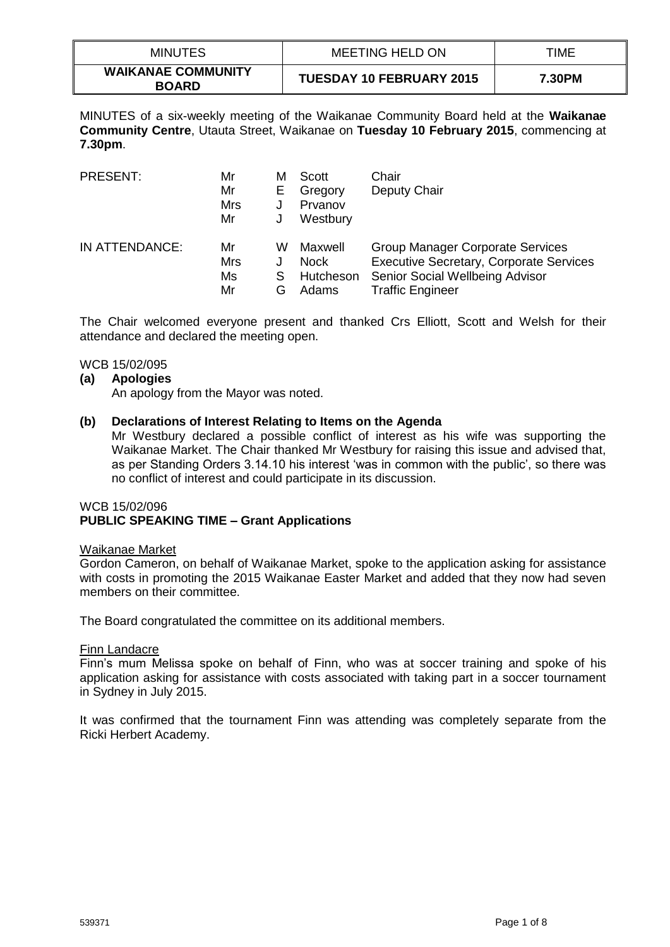| <b>MINUTES</b>                            | <b>MEETING HELD ON</b>          | TIME   |
|-------------------------------------------|---------------------------------|--------|
| <b>WAIKANAE COMMUNITY</b><br><b>BOARD</b> | <b>TUESDAY 10 FEBRUARY 2015</b> | 7.30PM |

MINUTES of a six-weekly meeting of the Waikanae Community Board held at the **Waikanae Community Centre**, Utauta Street, Waikanae on **Tuesday 10 February 2015**, commencing at **7.30pm**.

| PRESENT:       | Mr<br>Mr<br><b>Mrs</b><br>Mr | м<br>Е      | Scott<br>Gregory<br>Prvanov<br>Westbury      | Chair<br>Deputy Chair                                                                                                                                   |
|----------------|------------------------------|-------------|----------------------------------------------|---------------------------------------------------------------------------------------------------------------------------------------------------------|
| IN ATTENDANCE: | Mr<br>Mrs<br>Ms<br>Mr        | w<br>S<br>G | Maxwell<br><b>Nock</b><br>Hutcheson<br>Adams | <b>Group Manager Corporate Services</b><br><b>Executive Secretary, Corporate Services</b><br>Senior Social Wellbeing Advisor<br><b>Traffic Engineer</b> |

The Chair welcomed everyone present and thanked Crs Elliott, Scott and Welsh for their attendance and declared the meeting open.

## WCB 15/02/095

#### **(a) Apologies**

An apology from the Mayor was noted.

#### **(b) Declarations of Interest Relating to Items on the Agenda**

Mr Westbury declared a possible conflict of interest as his wife was supporting the Waikanae Market. The Chair thanked Mr Westbury for raising this issue and advised that, as per Standing Orders 3.14.10 his interest 'was in common with the public', so there was no conflict of interest and could participate in its discussion.

#### WCB 15/02/096 **PUBLIC SPEAKING TIME – Grant Applications**

#### Waikanae Market

Gordon Cameron, on behalf of Waikanae Market, spoke to the application asking for assistance with costs in promoting the 2015 Waikanae Easter Market and added that they now had seven members on their committee.

The Board congratulated the committee on its additional members.

#### Finn Landacre

Finn's mum Melissa spoke on behalf of Finn, who was at soccer training and spoke of his application asking for assistance with costs associated with taking part in a soccer tournament in Sydney in July 2015.

It was confirmed that the tournament Finn was attending was completely separate from the Ricki Herbert Academy.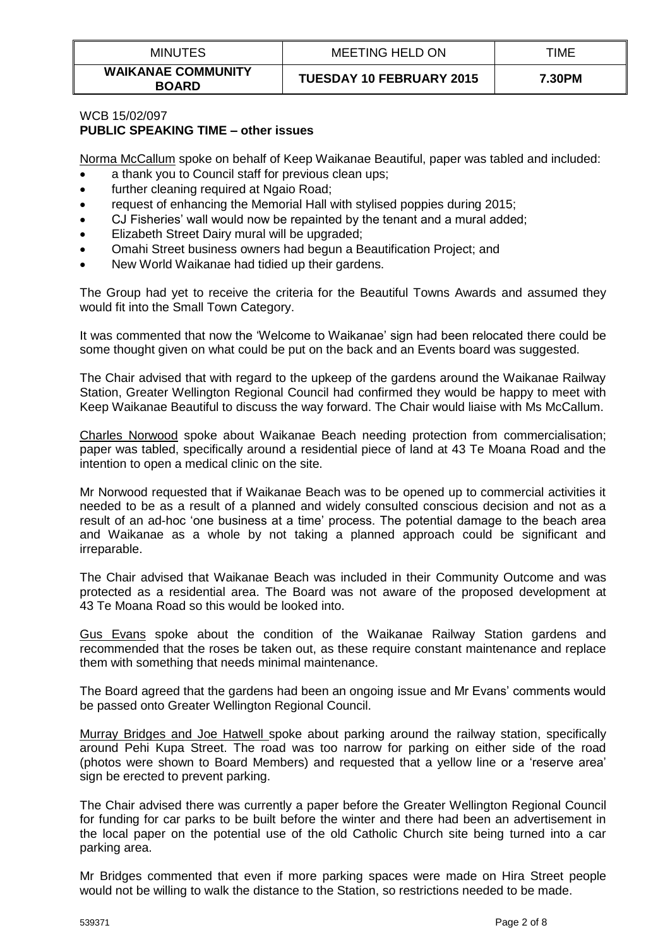| <b>MINUTES</b>                            | <b>MEETING HELD ON</b>          | TIME   |
|-------------------------------------------|---------------------------------|--------|
| <b>WAIKANAE COMMUNITY</b><br><b>BOARD</b> | <b>TUESDAY 10 FEBRUARY 2015</b> | 7.30PM |

# WCB 15/02/097 **PUBLIC SPEAKING TIME – other issues**

Norma McCallum spoke on behalf of Keep Waikanae Beautiful, paper was tabled and included:

- a thank you to Council staff for previous clean ups:
- further cleaning required at Ngaio Road:
- request of enhancing the Memorial Hall with stylised poppies during 2015;
- CJ Fisheries' wall would now be repainted by the tenant and a mural added;
- **Elizabeth Street Dairy mural will be upgraded;**
- Omahi Street business owners had begun a Beautification Project; and
- New World Waikanae had tidied up their gardens.

The Group had yet to receive the criteria for the Beautiful Towns Awards and assumed they would fit into the Small Town Category.

It was commented that now the 'Welcome to Waikanae' sign had been relocated there could be some thought given on what could be put on the back and an Events board was suggested.

The Chair advised that with regard to the upkeep of the gardens around the Waikanae Railway Station, Greater Wellington Regional Council had confirmed they would be happy to meet with Keep Waikanae Beautiful to discuss the way forward. The Chair would liaise with Ms McCallum.

Charles Norwood spoke about Waikanae Beach needing protection from commercialisation; paper was tabled, specifically around a residential piece of land at 43 Te Moana Road and the intention to open a medical clinic on the site.

Mr Norwood requested that if Waikanae Beach was to be opened up to commercial activities it needed to be as a result of a planned and widely consulted conscious decision and not as a result of an ad-hoc 'one business at a time' process. The potential damage to the beach area and Waikanae as a whole by not taking a planned approach could be significant and irreparable.

The Chair advised that Waikanae Beach was included in their Community Outcome and was protected as a residential area. The Board was not aware of the proposed development at 43 Te Moana Road so this would be looked into.

Gus Evans spoke about the condition of the Waikanae Railway Station gardens and recommended that the roses be taken out, as these require constant maintenance and replace them with something that needs minimal maintenance.

The Board agreed that the gardens had been an ongoing issue and Mr Evans' comments would be passed onto Greater Wellington Regional Council.

Murray Bridges and Joe Hatwell spoke about parking around the railway station, specifically around Pehi Kupa Street. The road was too narrow for parking on either side of the road (photos were shown to Board Members) and requested that a yellow line or a 'reserve area' sign be erected to prevent parking.

The Chair advised there was currently a paper before the Greater Wellington Regional Council for funding for car parks to be built before the winter and there had been an advertisement in the local paper on the potential use of the old Catholic Church site being turned into a car parking area.

Mr Bridges commented that even if more parking spaces were made on Hira Street people would not be willing to walk the distance to the Station, so restrictions needed to be made.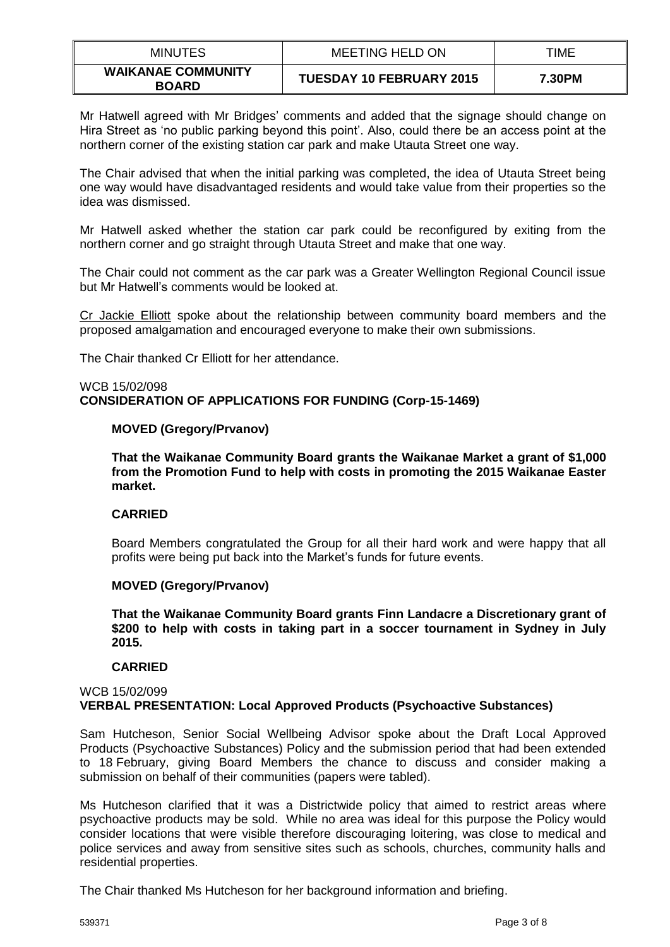| <b>MINUTES</b>                            | <b>MEETING HELD ON</b>          | TIME   |
|-------------------------------------------|---------------------------------|--------|
| <b>WAIKANAE COMMUNITY</b><br><b>BOARD</b> | <b>TUESDAY 10 FEBRUARY 2015</b> | 7.30PM |

Mr Hatwell agreed with Mr Bridges' comments and added that the signage should change on Hira Street as 'no public parking beyond this point'. Also, could there be an access point at the northern corner of the existing station car park and make Utauta Street one way.

The Chair advised that when the initial parking was completed, the idea of Utauta Street being one way would have disadvantaged residents and would take value from their properties so the idea was dismissed.

Mr Hatwell asked whether the station car park could be reconfigured by exiting from the northern corner and go straight through Utauta Street and make that one way.

The Chair could not comment as the car park was a Greater Wellington Regional Council issue but Mr Hatwell's comments would be looked at.

Cr Jackie Elliott spoke about the relationship between community board members and the proposed amalgamation and encouraged everyone to make their own submissions.

The Chair thanked Cr Elliott for her attendance.

#### WCB 15/02/098 **CONSIDERATION OF APPLICATIONS FOR FUNDING (Corp-15-1469)**

# **MOVED (Gregory/Prvanov)**

**That the Waikanae Community Board grants the Waikanae Market a grant of \$1,000 from the Promotion Fund to help with costs in promoting the 2015 Waikanae Easter market.**

#### **CARRIED**

Board Members congratulated the Group for all their hard work and were happy that all profits were being put back into the Market's funds for future events.

# **MOVED (Gregory/Prvanov)**

**That the Waikanae Community Board grants Finn Landacre a Discretionary grant of \$200 to help with costs in taking part in a soccer tournament in Sydney in July 2015.**

#### **CARRIED**

#### WCB 15/02/099 **VERBAL PRESENTATION: Local Approved Products (Psychoactive Substances)**

Sam Hutcheson, Senior Social Wellbeing Advisor spoke about the Draft Local Approved Products (Psychoactive Substances) Policy and the submission period that had been extended to 18 February, giving Board Members the chance to discuss and consider making a submission on behalf of their communities (papers were tabled).

Ms Hutcheson clarified that it was a Districtwide policy that aimed to restrict areas where psychoactive products may be sold. While no area was ideal for this purpose the Policy would consider locations that were visible therefore discouraging loitering, was close to medical and police services and away from sensitive sites such as schools, churches, community halls and residential properties.

The Chair thanked Ms Hutcheson for her background information and briefing.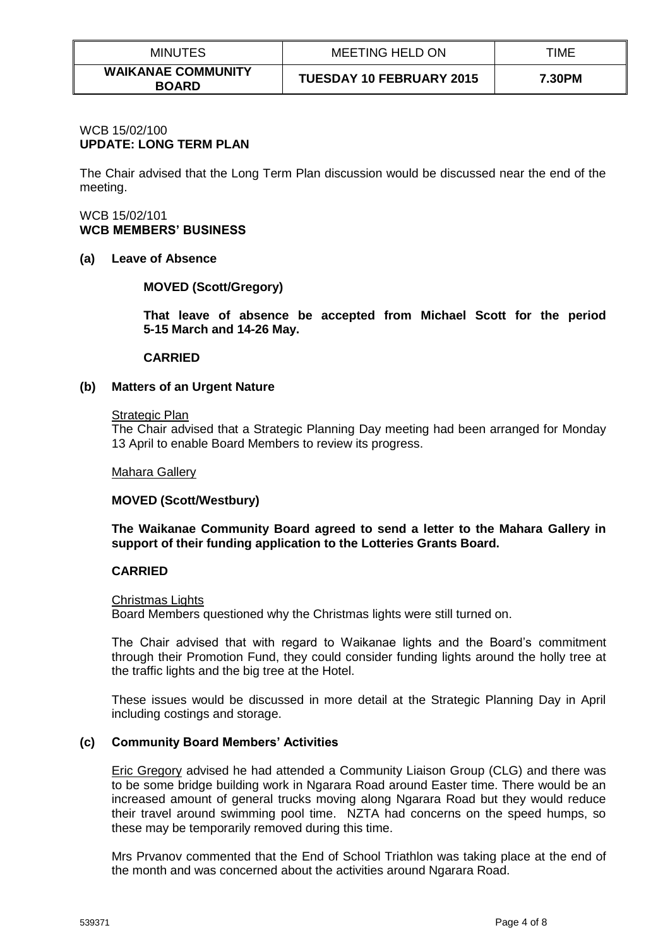| <b>MINUTES</b>                            | MEETING HELD ON                 | TIME   |
|-------------------------------------------|---------------------------------|--------|
| <b>WAIKANAE COMMUNITY</b><br><b>BOARD</b> | <b>TUESDAY 10 FEBRUARY 2015</b> | 7.30PM |

# WCB 15/02/100 **UPDATE: LONG TERM PLAN**

The Chair advised that the Long Term Plan discussion would be discussed near the end of the meeting.

# WCB 15/02/101 **WCB MEMBERS' BUSINESS**

#### **(a) Leave of Absence**

# **MOVED (Scott/Gregory)**

**That leave of absence be accepted from Michael Scott for the period 5-15 March and 14-26 May.**

#### **CARRIED**

# **(b) Matters of an Urgent Nature**

#### Strategic Plan

The Chair advised that a Strategic Planning Day meeting had been arranged for Monday 13 April to enable Board Members to review its progress.

#### Mahara Gallery

# **MOVED (Scott/Westbury)**

**The Waikanae Community Board agreed to send a letter to the Mahara Gallery in support of their funding application to the Lotteries Grants Board.**

# **CARRIED**

#### Christmas Lights

Board Members questioned why the Christmas lights were still turned on.

The Chair advised that with regard to Waikanae lights and the Board's commitment through their Promotion Fund, they could consider funding lights around the holly tree at the traffic lights and the big tree at the Hotel.

These issues would be discussed in more detail at the Strategic Planning Day in April including costings and storage.

# **(c) Community Board Members' Activities**

Eric Gregory advised he had attended a Community Liaison Group (CLG) and there was to be some bridge building work in Ngarara Road around Easter time. There would be an increased amount of general trucks moving along Ngarara Road but they would reduce their travel around swimming pool time. NZTA had concerns on the speed humps, so these may be temporarily removed during this time.

Mrs Prvanov commented that the End of School Triathlon was taking place at the end of the month and was concerned about the activities around Ngarara Road.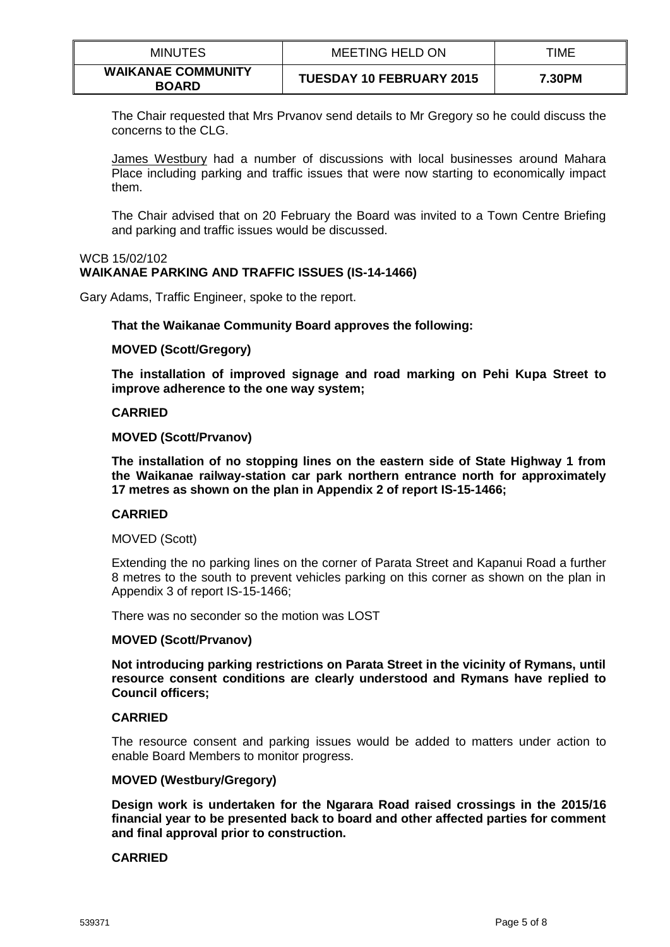| <b>MINUTES</b>                            | <b>MEETING HELD ON</b>          | TIME   |
|-------------------------------------------|---------------------------------|--------|
| <b>WAIKANAE COMMUNITY</b><br><b>BOARD</b> | <b>TUESDAY 10 FEBRUARY 2015</b> | 7.30PM |

The Chair requested that Mrs Prvanov send details to Mr Gregory so he could discuss the concerns to the CLG.

James Westbury had a number of discussions with local businesses around Mahara Place including parking and traffic issues that were now starting to economically impact them.

The Chair advised that on 20 February the Board was invited to a Town Centre Briefing and parking and traffic issues would be discussed.

#### WCB 15/02/102 **WAIKANAE PARKING AND TRAFFIC ISSUES (IS-14-1466)**

Gary Adams, Traffic Engineer, spoke to the report.

#### **That the Waikanae Community Board approves the following:**

#### **MOVED (Scott/Gregory)**

**The installation of improved signage and road marking on Pehi Kupa Street to improve adherence to the one way system;**

#### **CARRIED**

#### **MOVED (Scott/Prvanov)**

**The installation of no stopping lines on the eastern side of State Highway 1 from the Waikanae railway-station car park northern entrance north for approximately 17 metres as shown on the plan in Appendix 2 of report IS-15-1466;**

#### **CARRIED**

#### MOVED (Scott)

Extending the no parking lines on the corner of Parata Street and Kapanui Road a further 8 metres to the south to prevent vehicles parking on this corner as shown on the plan in Appendix 3 of report IS-15-1466;

There was no seconder so the motion was LOST

#### **MOVED (Scott/Prvanov)**

**Not introducing parking restrictions on Parata Street in the vicinity of Rymans, until resource consent conditions are clearly understood and Rymans have replied to Council officers;**

#### **CARRIED**

The resource consent and parking issues would be added to matters under action to enable Board Members to monitor progress.

## **MOVED (Westbury/Gregory)**

**Design work is undertaken for the Ngarara Road raised crossings in the 2015/16 financial year to be presented back to board and other affected parties for comment and final approval prior to construction.**

#### **CARRIED**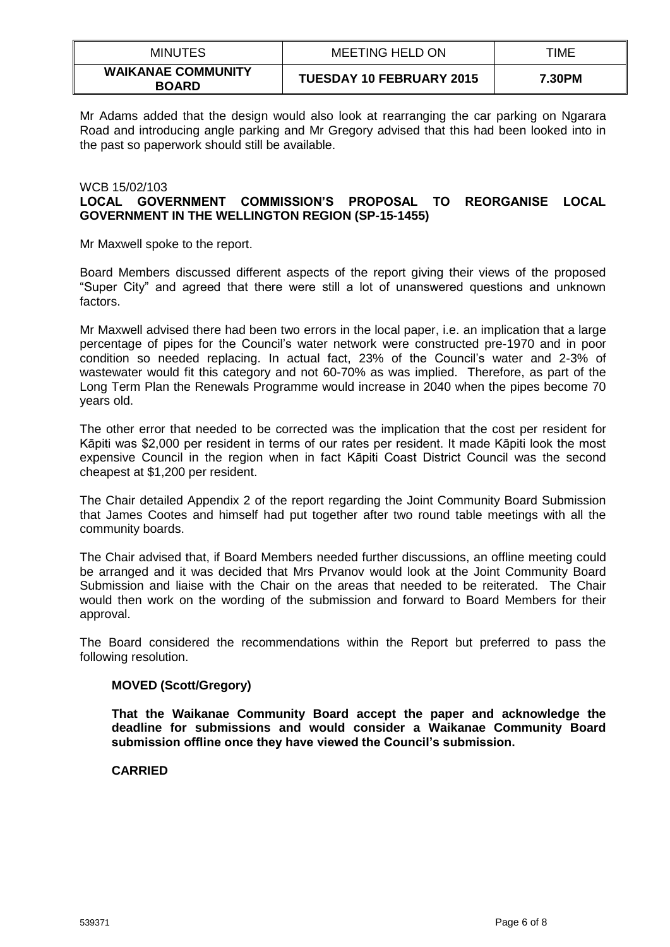| <b>MINUTES</b>                            | <b>MEETING HELD ON</b>          | TIME   |
|-------------------------------------------|---------------------------------|--------|
| <b>WAIKANAE COMMUNITY</b><br><b>BOARD</b> | <b>TUESDAY 10 FEBRUARY 2015</b> | 7.30PM |

Mr Adams added that the design would also look at rearranging the car parking on Ngarara Road and introducing angle parking and Mr Gregory advised that this had been looked into in the past so paperwork should still be available.

# WCB 15/02/103 **LOCAL GOVERNMENT COMMISSION'S PROPOSAL TO REORGANISE LOCAL GOVERNMENT IN THE WELLINGTON REGION (SP-15-1455)**

Mr Maxwell spoke to the report.

Board Members discussed different aspects of the report giving their views of the proposed "Super City" and agreed that there were still a lot of unanswered questions and unknown factors.

Mr Maxwell advised there had been two errors in the local paper, i.e. an implication that a large percentage of pipes for the Council's water network were constructed pre-1970 and in poor condition so needed replacing. In actual fact, 23% of the Council's water and 2-3% of wastewater would fit this category and not 60-70% as was implied. Therefore, as part of the Long Term Plan the Renewals Programme would increase in 2040 when the pipes become 70 years old.

The other error that needed to be corrected was the implication that the cost per resident for Kāpiti was \$2,000 per resident in terms of our rates per resident. It made Kāpiti look the most expensive Council in the region when in fact Kāpiti Coast District Council was the second cheapest at \$1,200 per resident.

The Chair detailed Appendix 2 of the report regarding the Joint Community Board Submission that James Cootes and himself had put together after two round table meetings with all the community boards.

The Chair advised that, if Board Members needed further discussions, an offline meeting could be arranged and it was decided that Mrs Prvanov would look at the Joint Community Board Submission and liaise with the Chair on the areas that needed to be reiterated. The Chair would then work on the wording of the submission and forward to Board Members for their approval.

The Board considered the recommendations within the Report but preferred to pass the following resolution.

# **MOVED (Scott/Gregory)**

**That the Waikanae Community Board accept the paper and acknowledge the deadline for submissions and would consider a Waikanae Community Board submission offline once they have viewed the Council's submission.**

#### **CARRIED**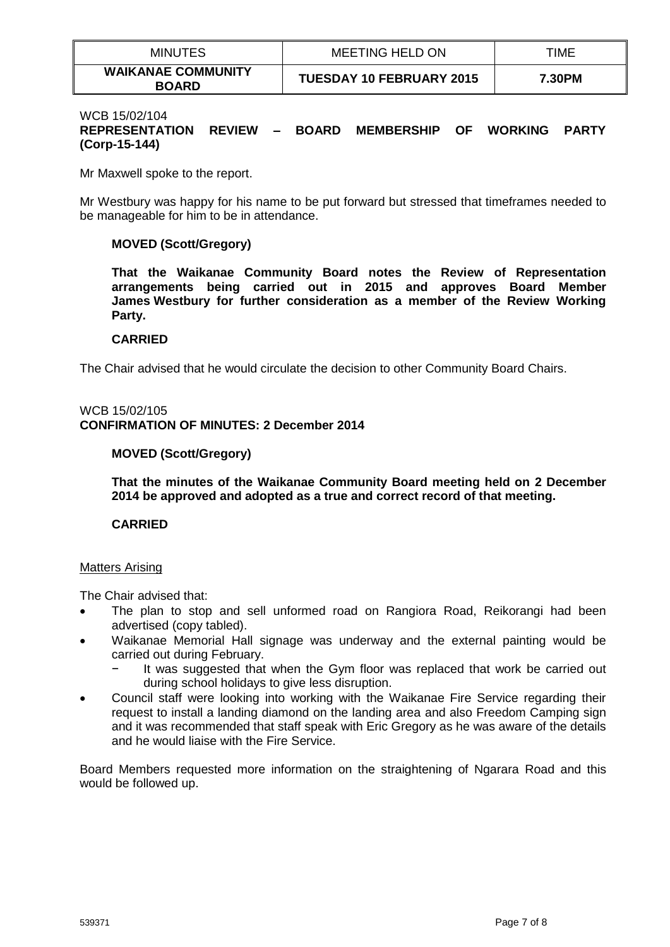| <b>MINUTES</b>                            | <b>MEETING HELD ON</b>          | TIME   |
|-------------------------------------------|---------------------------------|--------|
| <b>WAIKANAE COMMUNITY</b><br><b>BOARD</b> | <b>TUESDAY 10 FEBRUARY 2015</b> | 7.30PM |

#### WCB 15/02/104

# **REPRESENTATION REVIEW – BOARD MEMBERSHIP OF WORKING PARTY (Corp-15-144)**

Mr Maxwell spoke to the report.

Mr Westbury was happy for his name to be put forward but stressed that timeframes needed to be manageable for him to be in attendance.

# **MOVED (Scott/Gregory)**

**That the Waikanae Community Board notes the Review of Representation arrangements being carried out in 2015 and approves Board Member James Westbury for further consideration as a member of the Review Working Party.**

#### **CARRIED**

The Chair advised that he would circulate the decision to other Community Board Chairs.

#### WCB 15/02/105 **CONFIRMATION OF MINUTES: 2 December 2014**

# **MOVED (Scott/Gregory)**

**That the minutes of the Waikanae Community Board meeting held on 2 December 2014 be approved and adopted as a true and correct record of that meeting.** 

#### **CARRIED**

#### Matters Arising

The Chair advised that:

- The plan to stop and sell unformed road on Rangiora Road, Reikorangi had been advertised (copy tabled).
- Waikanae Memorial Hall signage was underway and the external painting would be carried out during February.
	- It was suggested that when the Gym floor was replaced that work be carried out during school holidays to give less disruption.
- Council staff were looking into working with the Waikanae Fire Service regarding their request to install a landing diamond on the landing area and also Freedom Camping sign and it was recommended that staff speak with Eric Gregory as he was aware of the details and he would liaise with the Fire Service.

Board Members requested more information on the straightening of Ngarara Road and this would be followed up.